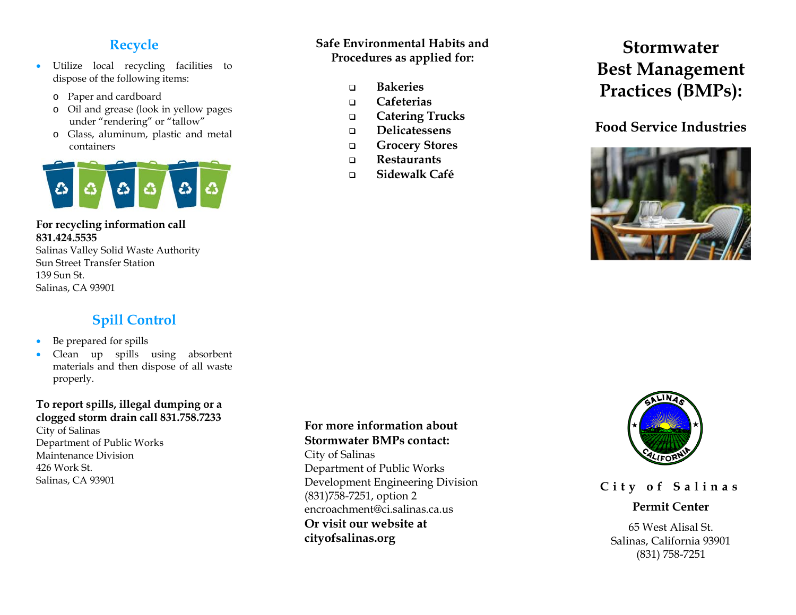## **Recycle**

- Utilize local recycling facilities to dispose of the following items:
	- o Paper and cardboard
	- o Oil and grease (look in yellow pages under "rendering" or "tallow"
	- o Glass, aluminum, plastic and metal containers



### **For recycling information call 831.424.5535**

Salinas Valley Solid Waste Authority Sun Street Transfer Station 139 Sun St. Salinas, CA 93901

# **Spill Control**

- Be prepared for spills
- Clean up spills using absorbent materials and then dispose of all waste properly.

#### **To report spills, illegal dumping or a clogged storm drain call 831.758.7233** City of Salinas Department of Public Works Maintenance Division 426 Work St. Salinas, CA 93901

**Safe Environmental Habits and Procedures as applied for:**

- **Bakeries**
- **Cafeterias**
- **Catering Trucks**
- **Delicatessens**
- **Grocery Stores**
- **Restaurants**
- **Sidewalk Café**

# **Stormwater Best Management Practices (BMPs):**

# **Food Service Industries**



### **For more information about Stormwater BMPs contact:**

City of Salinas Department of Public Works Development Engineering Division (831)758-7251, option 2 encroachment@ci.salinas.ca.us **Or visit our website at cityofsalinas.org**



# **C i t y o f Salinas**

### **Permit Center**

65 West Alisal St. Salinas, California 93901 (831) 758-7251